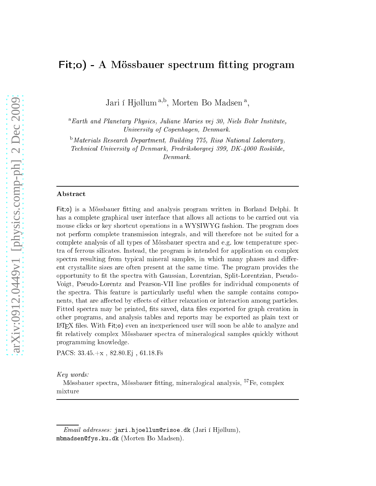# Fit;o) - A Mössbauer spectrum fitting program

Jari í Hjøllum<sup>a,b</sup>, Morten Bo Madsen<sup>a</sup>,

<sup>a</sup>Earth and Planetary Physics, Juliane Maries vej 30, Niels Bohr Institute, University of Copenhagen, Denmark.

**b**Materials Research Department, Building 775, Risø National Laboratory,

Te
hni
al University of Denmark, Fredriksborgvej 399, DK-4000 Roskilde, Denmark.

#### Abstra
t

Fit;o) is a Mössbauer fitting and analysis program written in Borland Delphi. It has a complete graphical user interface that allows all actions to be carried out via mouse clicks or key shortcut operations in a WYSIWYG fashion. The program does not perform omplete transmission integrals, and will therefore not be suited for a complete analysis of all types of Mössbauer spectra and e.g. low temperature spectra of ferrous sili
ates. Instead, the program is intended for appli
ation on omplex spectra resulting from typical mineral samples, in which many phases and different crystallite sizes are often present at the same time. The program provides the opportunity to fit the spectra with Gaussian, Lorentzian, Split-Lorentzian, Pseudo-Voigt, Pseudo-Lorentz and Pearson-VII line profiles for individual components of the spectra. This feature is particularly useful when the sample contains components, that are affected by effects of either relaxation or interaction among particles. Fitted spectra may be printed, fits saved, data files exported for graph creation in other programs, and analysis tables and reports may be exported as plain text or LATEX les. With Fit;o) even an inexperien
ed user will soon be able to analyze and fit relatively complex Mössbauer spectra of mineralogical samples quickly without programming knowledge.

PACS: 33.45.+x , 82.80.Ej , 61.18.Fs

Key words:

Mössbauer spectra, Mössbauer fitting, mineralogical analysis, <sup>57</sup>Fe, complex mixture

 $Email \ addresses: \$ iari.hjoellum@risoe.dk (Jari í Hjøllum), mbmadsen@fys.ku.dk (Morten Bo Madsen).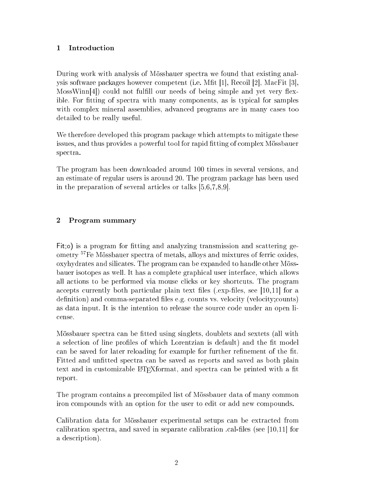## 1 Introduction

During work with analysis of Mössbauer spe
tra we found that existing analysis software packages however competent (i.e. Mfit [1], Recoil [2], MacFit [3],  $M$ oss $W$ inn $[4]$  could not fulfill our needs of being simple and yet very flexible. For fitting of spectra with many components, as is typical for samples with complex mineral assemblies, advanced programs are in many cases too detailed to be really useful.

We therefore developed this program package which attempts to mitigate these issues, and thus provides a powerful tool for rapid fitting of complex Mössbauer spectra.

The program has been downloaded around 100 times in several versions, and an estimate of regular users is around 20. The program pa
kage has been used in the preparation of several articles or talks  $[5,6,7,8,9]$ .

## 2 Program summary

Fit<sub>i</sub>o) is a program for fitting and analyzing transmission and scattering geometry 57Fe Mössbauer spe
tra of metals, alloys and mixtures of ferri oxides, oxyhydrates and sili
ates. The program an be expanded to handle other Mössbauer isotopes as well. It has a omplete graphi
al user interfa
e, whi
h allows all a
tions to be performed via mouse li
ks or key short
uts. The program accepts currently both particular plain text files (.exp-files, see [10,11] for a definition) and comma-separated files e.g. counts vs. velocity (velocity; counts) as data input. It is the intention to release the source code under an open liense.

Mössbauer spe
tra an be tted using singlets, doublets and sextets (all with a selection of line profiles of which Lorentzian is default) and the fit model can be saved for later reloading for example for further refinement of the fit. Fitted and unfitted spectra can be saved as reports and saved as both plain text and in customizable L<sup>AT</sup>EXformat, and spectra can be printed with a fit report.

The program ontains a pre
ompiled list of Mössbauer data of many ommon iron ompounds with an option for the user to edit or add new ompounds.

Calibration data for Mössbauer experimental setups an be extra
ted from calibration spectra, and saved in separate calibration  $\alpha$ .cal-files (see [10,11] for a des
ription).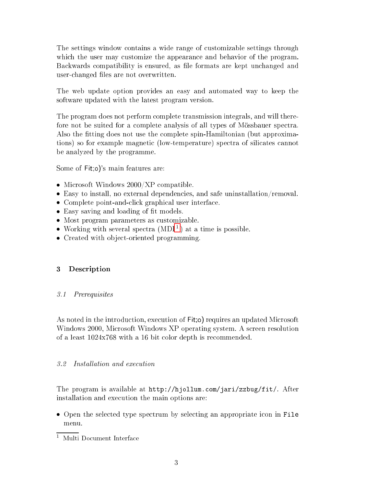The settings window contains a wide range of customizable settings through which the user may customize the appearance and behavior of the program. Backwards compatibility is ensured, as file formats are kept unchanged and user-changed files are not overwritten.

The web update option provides an easy and automated way to keep the software updated with the latest program version.

The program does not perform omplete transmission integrals, and will therefore not be suited for a complete analysis of all types of Mössbauer spectra. Also the tting does not use the omplete spin-Hamiltonian (but approximations) so for example magneti (low-temperature) spe
tra of sili
ates annot be analyzed by the programme.

Some of Fit;o)'s main features are:

- Microsoft Windows 2000/XP compatible.
- Easy to install, no external dependen
ies, and safe uninstallation/removal.
- Complete point-and-click graphical user interface.
- Easy saving and loading of fit models.
- Most program parameters as customizable.
- Working with several spectra  $(MDI<sup>1</sup>)$  $(MDI<sup>1</sup>)$  $(MDI<sup>1</sup>)$  at a time is possible.
- Created with object-oriented programming.

#### **Description** 3

## 3.1 Prerequisites

As noted in the introduction, execution of  $Fit$ ; o) requires an updated Microsoft Windows 2000, Microsoft Windows XP operating system. A screen resolution of a least 1024x768 with a 16 bit olor depth is re
ommended.

#### $3.2$ Installation and execution

The program is available at http://hjollum.
om/jari/zzbug/fit/. After installation and execution the main options are:

• Open the selected type spectrum by selecting an appropriate icon in File menu

<span id="page-2-0"></span><sup>1</sup> Multi Do
ument Interfa
e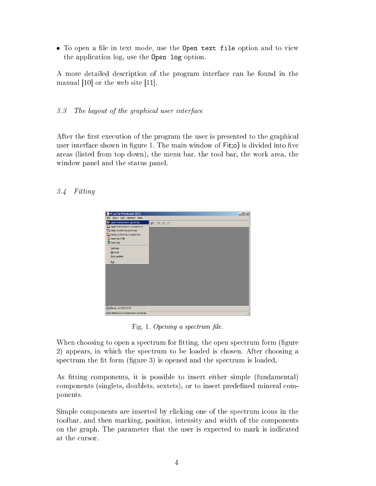• To open a file in text mode, use the Open text file option and to view the appli
ation log, use the Open log option.

A more detailed des
ription of the program interfa
e an be found in the manual  $[10]$  or the web site  $[11]$ .

## 3.3 The layout of the graphical user interface

After the first execution of the program the user is presented to the graphical user interface shown in figure 1. The main window of  $Fit<sub>i</sub>$  is divided into five areas (listed from top down), the menu bar, the tool bar, the work area, the window panel and the status panel.

## 3.4 Fitting



Fig. 1. Opening a spectrum file.

When choosing to open a spectrum for fitting, the open spectrum form (figure) 2) appears, in whi
h the spe
trum to be loaded is hosen. After hoosing a spectrum the fit form (figure 3) is opened and the spectrum is loaded.

As tting omponents, it is possible to insert either simple (fundamental) components (singlets, doublets, sextets), or to insert predefined mineral components.

Simple components are inserted by clicking one of the spectrum icons in the toolbar, and then marking, position, intensity and width of the omponents on the graph. The parameter that the user is expe
ted to mark is indi
ated at the cursor.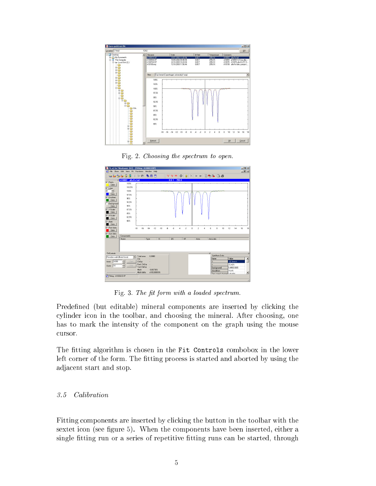

Fig. 2. Choosing the spectrum to open.



Fig. 3. The fit form with a loaded spectrum.

Predefined (but editable) mineral components are inserted by clicking the cylinder icon in the toolbar, and choosing the mineral. After choosing, one has to mark the intensity of the component on the graph using the mouse ursor.

The fitting algorithm is chosen in the Fit Controls combobox in the lower left corner of the form. The fitting process is started and aborted by using the adja
ent start and stop.

### 3.5 Calibration

Fitting components are inserted by clicking the button in the toolbar with the sextet icon (see figure 5). When the components have been inserted, either a single fitting run or a series of repetitive fitting runs can be started, through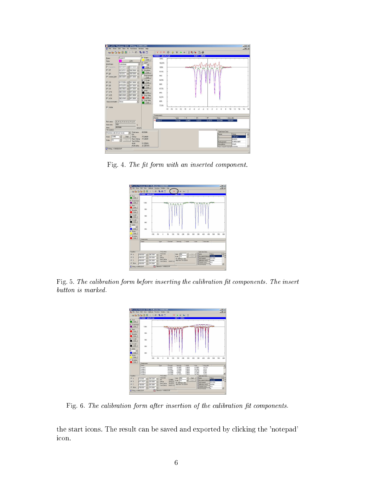

Fig. 4. The fit form with an inserted component.



Fig. 5. The calibration form before inserting the calibration fit components. The insert button is marked.



Fig. 6. The calibration form after insertion of the calibration fit components.

the start i
ons. The result an be saved and exported by li
king the 'notepad' icon.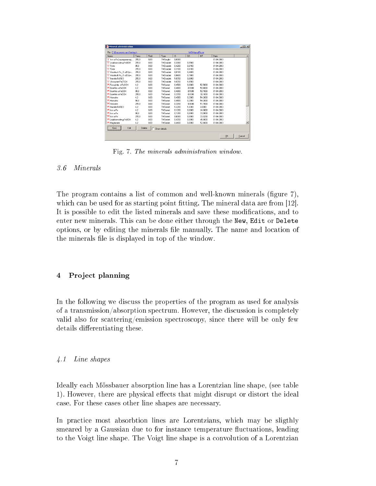| Field<br>Temp<br>295.0<br>0.00<br>295.0<br>0.00<br>80.0<br>0.00 | Type<br><b>TMSinglet</b>                                                                                           | <b>IS</b><br>0.0000                                                                                                                       | <b>OS</b>                                                          | HF                                                                       | Date                                     |                                                                                                |
|-----------------------------------------------------------------|--------------------------------------------------------------------------------------------------------------------|-------------------------------------------------------------------------------------------------------------------------------------------|--------------------------------------------------------------------|--------------------------------------------------------------------------|------------------------------------------|------------------------------------------------------------------------------------------------|
|                                                                 |                                                                                                                    |                                                                                                                                           |                                                                    |                                                                          |                                          |                                                                                                |
|                                                                 |                                                                                                                    |                                                                                                                                           |                                                                    |                                                                          | 01-04-2003                               |                                                                                                |
|                                                                 | <b>TMD</b> oublet                                                                                                  | 0.3000                                                                                                                                    | 0.5500                                                             |                                                                          | 01-04-2003                               |                                                                                                |
|                                                                 | TMDoublet                                                                                                          | 0.4200                                                                                                                                    | 0.6100                                                             |                                                                          | 01-04-2003                               |                                                                                                |
| 295.0<br>0.00                                                   | TMD oublet                                                                                                         | 0.3100                                                                                                                                    | 0.6100                                                             |                                                                          | 01-04-2003                               |                                                                                                |
| 295.0<br>0.00                                                   | <b>TMDoublet</b>                                                                                                   | 0.8100                                                                                                                                    | 0.4600                                                             |                                                                          | 01-04-2003                               |                                                                                                |
|                                                                 |                                                                                                                    |                                                                                                                                           |                                                                    |                                                                          |                                          |                                                                                                |
|                                                                 |                                                                                                                    |                                                                                                                                           |                                                                    |                                                                          |                                          |                                                                                                |
|                                                                 |                                                                                                                    |                                                                                                                                           |                                                                    |                                                                          |                                          |                                                                                                |
| 4.2                                                             |                                                                                                                    |                                                                                                                                           |                                                                    |                                                                          |                                          |                                                                                                |
| 4,2                                                             |                                                                                                                    |                                                                                                                                           |                                                                    |                                                                          |                                          |                                                                                                |
|                                                                 |                                                                                                                    |                                                                                                                                           |                                                                    |                                                                          |                                          |                                                                                                |
|                                                                 | <b>TMSextet</b>                                                                                                    | 0.3700                                                                                                                                    | $-0.1300$                                                          | 38,1000                                                                  | 01-04-2003                               |                                                                                                |
| 4,2                                                             |                                                                                                                    |                                                                                                                                           |                                                                    |                                                                          |                                          |                                                                                                |
| 80.0<br>0.00                                                    | <b>TMSexter</b>                                                                                                    | 0.4800                                                                                                                                    | 0.2000                                                             | 54,2000                                                                  | 01-04-2003                               |                                                                                                |
| 295.0<br>0.00                                                   | <b>TMS</b> extet                                                                                                   | 0.3700                                                                                                                                    | $-0.1000$                                                          | 51,7000                                                                  | 01-04-2003                               |                                                                                                |
| 4.2<br>0.00                                                     | TMSextet                                                                                                           | 1,2200                                                                                                                                    | 1.4300                                                             | 4,8000                                                                   | 01-04-2003                               |                                                                                                |
| 4.2<br>0.00                                                     | <b>TMS</b> extet                                                                                                   | 0.1200                                                                                                                                    | 0.0000                                                             | 34,0000                                                                  | 01-04-2003                               |                                                                                                |
| 80.0<br>0.00                                                    | <b>TMSextet</b>                                                                                                    | 0.1200                                                                                                                                    | 0.0000                                                             | 33,9000                                                                  | 01-04-2003                               |                                                                                                |
| 295.0<br>0.00                                                   | <b>TMSextet</b>                                                                                                    | 0.0000                                                                                                                                    | 0.0000                                                             | 33,0200                                                                  | 01-04-2003                               |                                                                                                |
| 4,2<br>0.00                                                     | <b>TMSextet</b>                                                                                                    | 0.4700                                                                                                                                    | 0.0000                                                             | 45,8000                                                                  | 01-04-2003                               |                                                                                                |
| 4,2<br>0.00                                                     | <b>TMS</b> extet                                                                                                   | 0.4400                                                                                                                                    | 0.0000                                                             | 52,6000                                                                  | 01-04-2003                               | ▼                                                                                              |
|                                                                 | 295.0<br>0.00<br>295.0<br>0.00<br>295.0<br>0.00<br>0.00<br>0.00<br>80.0<br>0.00<br>295.0<br>0.00<br>0.00<br>Delete | TMDoublet<br><b>TMD</b> oublet<br><b>TMD</b> oublet<br><b>TMSextet</b><br><b>TMSextet</b><br><b>TMS</b> extet<br>TMSextet<br>Show details | 0.8600<br>1.0700<br>1,0700<br>0.4500<br>0.4800<br>0.4800<br>0.4900 | 0.7800<br>0.6800<br>1.8500<br>0.0000<br>$-0.1300$<br>$-0.1300$<br>0.2000 | 52 5000<br>50,6000<br>50.1000<br>54 2000 | 01-04-2003<br>01-04-2003<br>01-04-2003<br>01-04-2003<br>01-04-2003<br>01-04-2003<br>01-04-2003 |

Fig. 7. The minerals administration window.

### 3.6 Minerals

The program contains a list of common and well-known minerals (figure 7), which can be used for as starting point fitting. The mineral data are from  $[12]$ . It is possible to edit the listed minerals and save these modifications, and to enter new minerals. This an be done either through the New, Edit or Delete options, or by editing the minerals file manually. The name and location of the minerals file is displayed in top of the window.

### 4 Project planning

In the following we discuss the properties of the program as used for analysis of a transmission/absorption spectrum. However, the discussion is completely valid also for s
attering/emission spe
tros
opy, sin
e there will be only few details differentiating these.

#### 4.1 Line shapes

Ideally ea
h Mössbauer absorption line has a Lorentzian line shape, (see table 1). However, there are physical effects that might disrupt or distort the ideal case. For these cases other line shapes are necessary.

In practice most absorbtion lines are Lorentzians, which may be sligthly smeared by a Gaussian due to for instance temperature fluctuations, leading to the Voigt line shape. The Voigt line shape is a onvolution of a Lorentzian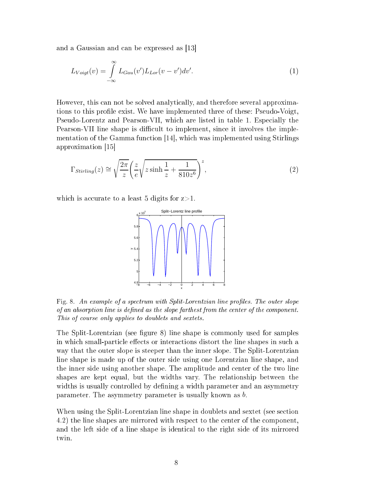and a Gaussian and can be expressed as [13]

$$
L_{Voigt}(v) = \int_{-\infty}^{\infty} L_{Gau}(v') L_{Lor}(v - v') dv'. \tag{1}
$$

However, this an not be solved analyti
ally, and therefore several approximations to this profile exist. We have implemented three of these: Pseudo-Voigt, Pseudo-Lorentz and Pearson-VII, whi
h are listed in table 1. Espe
ially the Pearson-VII line shape is difficult to implement, since it involves the implementation of the Gamma function [14], which was implemented using Stirlings approximation [15]

$$
\Gamma_{Stirling}(z) \cong \sqrt{\frac{2\pi}{z}} \left(\frac{z}{e} \sqrt{z \sinh\frac{1}{z} + \frac{1}{810z^6}}\right)^z,\tag{2}
$$

which is accurate to a least 5 digits for  $z>1$ .



Fig. 8. An example of a spectrum with Split-Lorentzian line profiles. The outer slope  $of an absorption line is defined as the slope farthest from the center of the component.$ This of course only applies to doublets and sextets.

The Split-Lorentzian (see figure 8) line shape is commonly used for samples in which small-particle effects or interactions distort the line shapes in such a way that the outer slope is steeper than the inner slope. The Split-Lorentzian line shape is made up of the outer side using one Lorentzian line shape, and the inner side using another shape. The amplitude and enter of the two line shapes are kept equal, but the widths vary. The relationship between the widths is usually controlled by defining a width parameter and an asymmetry parameter. The asymmetry parameter is usually known as b.

When using the Split-Lorentzian line shape in doublets and sextet (see section 4.2) the line shapes are mirrored with respe
t to the enter of the omponent, and the left side of a line shape is identi
al to the right side of its mirrored twin.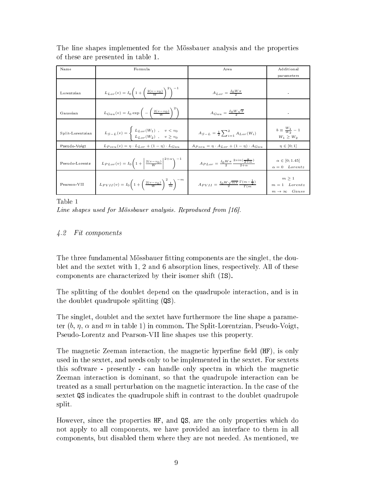| Name             | Formula                                                                                       | Area                                                                              | Additional                                       |
|------------------|-----------------------------------------------------------------------------------------------|-----------------------------------------------------------------------------------|--------------------------------------------------|
|                  |                                                                                               |                                                                                   | parameters                                       |
|                  |                                                                                               |                                                                                   |                                                  |
| Lorentzian       | $L_{Lor}(v) = I_0 \left( 1 + \left( \frac{2(v-v_0)}{W} \right)^2 \right)^{-1}$                | $A_{Lor} = \frac{I_0 W \pi}{2}$                                                   |                                                  |
|                  |                                                                                               |                                                                                   |                                                  |
| Gaussian         | $L_{Gau}(v) = I_0 \exp \left(-\left(\frac{2(v-v_0)}{W}\right)^2\right)$                       | $A_{Gau} = \frac{I_0 W \sqrt{\pi}}{2}$                                            |                                                  |
|                  |                                                                                               |                                                                                   |                                                  |
| Split-Lorentzian | $L_{S-L}(v) = \begin{cases} L_{Lor}(W_1) , & v < v_0 \\ L_{Lor}(W_2) , & v > v_0 \end{cases}$ | $A_{S-L} = \frac{1}{2} \sum_{i=1}^{2} A_{Lor}(W_i)$                               | $b \equiv \frac{W_1}{W_2} - 1$<br>$W_1 \geq W_2$ |
| Pseudo-Voigt     | $L_{Pseu}(v) = \eta \cdot L_{Lor} + (1 - \eta) \cdot L_{Gau}$                                 | $A_{Pseu} = \eta \cdot A_{Lor} + (1 - \eta) \cdot A_{Gau}$                        | $\eta \in [0;1]$                                 |
|                  |                                                                                               |                                                                                   |                                                  |
| Pseudo-Lorentz   | $L_{PLor}(v) = I_0 \left( 1 + \left  \frac{2(v-v_0)}{W} \right ^{2+\alpha} \right)^{-1}$      | $A_{PLor} = \frac{I_0 W \pi}{2} \frac{2\sin(\frac{\pi}{2+\alpha})}{2+\alpha}$     | $\alpha \in [0; 1.45]$                           |
|                  |                                                                                               |                                                                                   | $\alpha = 0$ Lorentz                             |
|                  |                                                                                               |                                                                                   |                                                  |
| Pearson-VII      | $L_{PVII}(v) = I_0 \left( 1 + \left( \frac{2(v-v_0)}{W} \right)^2 \frac{1}{m} \right)^{-m}$   | $A_{PVII} = \frac{I_0 W \sqrt{m \pi}}{2} \frac{\Gamma(m-\frac{1}{2})}{\Gamma(m)}$ | $m\geq 1$<br>$m = 1$ Lorentz                     |
|                  |                                                                                               |                                                                                   | $m \rightarrow \infty$ Gauss                     |

The line shapes implemented for the Mössbauer analysis and the properties of these are presented in table 1.

Table 1

Line shapes used for Mössbauer analysis. Reproduced from [16].

## 4.2 Fit omponents

The three fundamental Mössbauer fitting components are the singlet, the doublet and the sextet with 1, 2 and 6 absorption lines, respectively. All of these omponents are hara
terized by their isomer shift (IS).

The splitting of the doublet depend on the quadrupole intera
tion, and is in the doublet quadrupole splitting (QS).

The singlet, doublet and the sextet have furthermore the line shape a parameter  $(b, \eta, \alpha \text{ and } m \text{ in table 1})$  in common. The Split-Lorentzian, Pseudo-Voigt, Pseudo-Lorentz and Pearson-VII line shapes use this property.

The magnetic Zeeman interaction, the magnetic hyperfine field (HF), is only used in the sextet, and needs only to be implemented in the sextet. For sextets this software - presently - can handle only spectra in which the magnetic Zeeman intera
tion is dominant, so that the quadrupole intera
tion an be treated as a small perturbation on the magnetic interaction. In the case of the sextet QS indicates the quadrupole shift in contrast to the doublet quadrupole split.

However, since the properties HF, and QS, are the only properties which do not apply to all omponents, we have provided an interfa
e to them in all omponents, but disabled them where they are not needed. As mentioned, we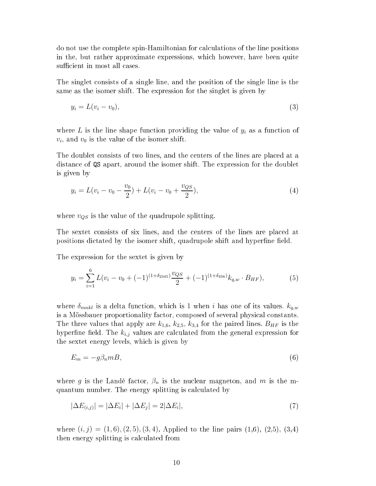do not use the omplete spin-Hamiltonian for al
ulations of the line positions in the, but rather approximate expressions, whi
h however, have been quite sufficient in most all cases.

The singlet onsists of a single line, and the position of the single line is the same as the isomer shift. The expression for the singlet is given by

$$
y_i = L(v_i - v_0),\tag{3}
$$

where L is the line shape function providing the value of  $y_i$  as a function of  $v_i$ , and  $v_0$  is the value of the isomer shift.

The doublet consists of two lines, and the centers of the lines are placed at a distan
e of QS apart, around the isomer shift. The expression for the doublet is given by

$$
y_i = L(v_i - v_0 - \frac{v_0}{2}) + L(v_i - v_0 + \frac{v_{QS}}{2}),
$$
\n(4)

where  $v_{QS}$  is the value of the quadrupole splitting.

The sextet onsists of six lines, and the enters of the lines are pla
ed at positions dictated by the isomer shift, quadrupole shift and hyperfine field.

The expression for the sextet is given by

$$
y_i = \sum_{i=1}^{6} L(v_i - v_0 + (-1)^{(1+\delta_{2345})} \frac{v_{QS}}{2} + (-1)^{(1+\delta_{456})} k_{q,w} \cdot B_{HF}), \tag{5}
$$

where  $\delta_{mnkl}$  is a delta function, which is 1 when i has one of its values.  $k_{q,w}$ is a Mössbauer proportionality fa
tor, omposed of several physi
al onstants. The three values that apply are  $k_{1,6}$ ,  $k_{2,5}$ ,  $k_{3,4}$  for the paired lines.  $B_{HF}$  is the hyperfine field. The  $k_{i,j}$  values are calculated from the general expression for the sextet energy levels, whi
h is given by

$$
E_m = -g\beta_n mB,\tag{6}
$$

where g is the Landé factor,  $\beta_n$  is the nuclear magneton, and m is the mquantum number. The energy splitting is calculated by

$$
|\Delta E_{(i,j)}| = |\Delta E_i| + |\Delta E_j| = 2|\Delta E_i|,\tag{7}
$$

where  $(i, j) = (1, 6), (2, 5), (3, 4)$ . Applied to the line pairs  $(1, 6), (2, 5), (3, 4)$ then energy splitting is calculated from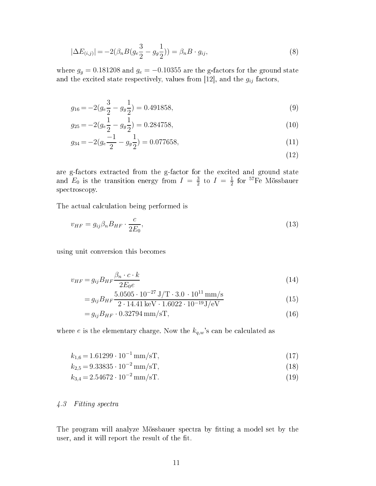$$
|\Delta E_{(i,j)}| = -2(\beta_n B(g_e \frac{3}{2} - g_g \frac{1}{2})) = \beta_n B \cdot g_{ij},
$$
\n(8)

where  $g_g = 0.181208$  and  $g_e = -0.10355$  are the g-factors for the ground state and the excited state respectively, values from [12], and the  $g_{ij}$  factors,

$$
g_{16} = -2(g_e \frac{3}{2} - g_g \frac{1}{2}) = 0.491858,\tag{9}
$$

$$
g_{25} = -2(g_e \frac{1}{2} - g_g \frac{1}{2}) = 0.284758,\tag{10}
$$

$$
g_{34} = -2(g_e \frac{-1}{2} - g_g \frac{1}{2}) = 0.077658,\tag{11}
$$

(12)

are g-factors extracted from the g-factor for the excited and ground state and  $E_0$  is the transition energy from  $I = \frac{3}{2}$  $\frac{3}{2}$  to  $I = \frac{1}{2}$  $\frac{1}{2}$  for <sup>57</sup>Fe Mössbauer spe
tros
opy.

The actual calculation being performed is

$$
v_{HF} = g_{ij}\beta_n B_{HF} \cdot \frac{c}{2E_0},\tag{13}
$$

using unit onversion this be
omes

$$
v_{HF} = g_{ij} B_{HF} \frac{\beta_n \cdot c \cdot k}{2E_0 e} \tag{14}
$$

$$
= g_{ij} B_{HF} \frac{5.0505 \cdot 10^{-27} \, \text{J/T} \cdot 3.0 \cdot 10^{11} \, \text{mm/s}}{2 \cdot 14.41 \, \text{keV} \cdot 1.6022 \cdot 10^{-19} \, \text{J/eV}} \tag{15}
$$

$$
= g_{ij} B_{HF} \cdot 0.32794 \,\mathrm{mm/sT},\tag{16}
$$

where e is the elementary charge. Now the  $k_{q,w}$ 's can be calculated as

$$
k_{1,6} = 1.61299 \cdot 10^{-1} \,\mathrm{mm/sT},\tag{17}
$$

$$
k_{2,5} = 9.33835 \cdot 10^{-2} \,\mathrm{mm/sT},\tag{18}
$$

$$
k_{3,4} = 2.54672 \cdot 10^{-2} \,\mathrm{mm/sT}.\tag{19}
$$

#### 4.3 Fitting spe
tra

The program will analyze Mössbauer spectra by fitting a model set by the user, and it will report the result of the fit.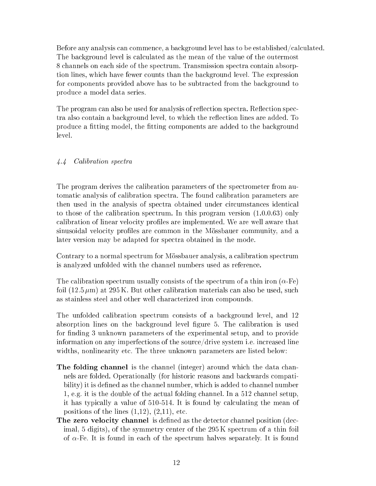Before any analysis can commence, a background level has to be established/calculated. The background level is calculated as the mean of the value of the outermost 8 hannels on ea
h side of the spe
trum. Transmission spe
tra ontain absorption lines, whi
h have fewer ounts than the ba
kground level. The expression for components provided above has to be subtracted from the background to produ
e a model data series.

The program can also be used for analysis of reflection spectra. Reflection spectra also contain a background level, to which the reflection lines are added. To produce a fitting model, the fitting components are added to the background level.

## 4.4 Calibration spe
tra

The program derives the calibration parameters of the spectrometer from automati analysis of alibration spe
tra. The found alibration parameters are then used in the analysis of spectra obtained under circumstances identical to those of the alibration spe
trum. In this program version (1.0.0.63) only calibration of linear velocity profiles are implemented. We are well aware that sinusoidal velocity profiles are common in the Mössbauer community, and a later version may be adapted for spe
tra obtained in the mode.

Contrary to a normal spectrum for Mössbauer analysis, a calibration spectrum is analyzed unfolded with the hannel numbers used as referen
e.

The calibration spectrum usually consists of the spectrum of a thin iron  $(\alpha$ -Fe) foil  $(12.5 \,\mu\text{m})$  at 295K. But other calibration materials can also be used, such as stainless steel and other well hara
terized iron ompounds.

The unfolded calibration spectrum consists of a background level, and 12 absorption lines on the background level figure 5. The calibration is used for finding 3 unknown parameters of the experimental setup, and to provide information on any imperfections of the source/drive system *i.e.* increased line widths, nonlinearity et
. The three unknown parameters are listed below:

- The folding channel is the channel (integer) around which the data channels are folded. Operationally (for historic reasons and backwards compatibility) it is defined as the channel number, which is added to channel number 1, e.g. it is the double of the a
tual folding hannel. In a 512 hannel setup, it has typically a value of 510-514. It is found by calculating the mean of positions of the lines  $(1,12)$ ,  $(2,11)$ , etc.
- The zero velocity channel is defined as the detector channel position (decimal, 5 digits), of the symmetry enter of the 295 K spe
trum of a thin foil of  $\alpha$ -Fe. It is found in each of the spectrum halves separately. It is found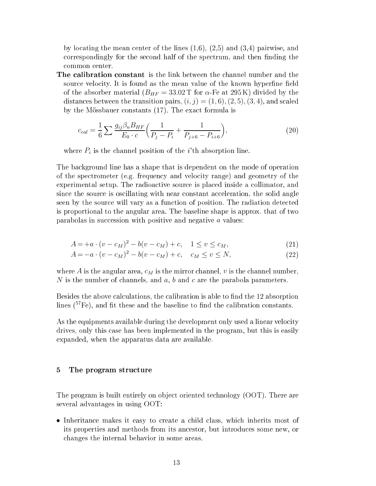by locating the mean center of the lines  $(1.6)$ ,  $(2.5)$  and  $(3.4)$  pairwise, and correspondingly for the second half of the spectrum, and then finding the ommon enter.

The calibration constant is the link between the channel number and the source velocity. It is found as the mean value of the known hyperfine field of the absorber material  $(B_{HF} = 33.02 \text{ T}$  for  $\alpha$ -Fe at 295K) divided by the distances between the transition pairs,  $(i, j) = (1, 6), (2, 5), (3, 4)$ , and scaled by the Mössbauer onstants (17). The exa
t formula is

$$
c_{cal} = \frac{1}{6} \sum \frac{g_{ij} \beta_n B_{HF}}{E_0 \cdot c} \left( \frac{1}{P_j - P_i} + \frac{1}{P_{j+6} - P_{i+6}} \right),\tag{20}
$$

where  $P_i$  is the channel position of the *i*'th absorption line.

The ba
kground line has a shape that is dependent on the mode of operation of the spe
trometer (e.g. frequen
y and velo
ity range) and geometry of the experimental setup. The radioactive source is placed inside a collimator, and since the source is oscillating with near constant acceleration, the solid angle seen by the sour
e will vary as a fun
tion of position. The radiation dete
ted is proportional to the angular area. The baseline shape is approx. that of two parabolas in succession with positive and negative  $a$  values:

$$
A = +a \cdot (v - c_M)^2 - b(v - c_M) + c, \quad 1 \le v \le c_M,
$$
\n(21)

$$
A = -a \cdot (v - c_M)^2 - b(v - c_M) + c, \quad c_M \le v \le N,
$$
\n(22)

where A is the angular area,  $c_M$  is the mirror channel, v is the channel number, N is the number of channels, and  $a, b$  and  $c$  are the parabola parameters.

Besides the above calculations, the calibration is able to find the 12 absorption lines  $(57Fe)$ , and fit these and the baseline to find the calibration constants.

As the equipments available during the development only used a linear velocity drives, only this ase has been implemented in the program, but this is easily expanded, when the apparatus data are available.

### 5 The program stru
ture

The program is built entirely on object oriented technology (OOT). There are several advantages in using OOT:

• Inheritance makes it easy to create a child class, which inherits most of its properties and methods from its an
estor, but introdu
es some new, or hanges the internal behavior in some areas.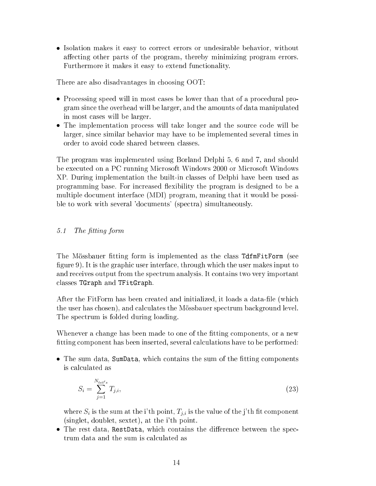• Isolation makes it easy to correct errors or undesirable behavior, without affecting other parts of the program, thereby minimizing program errors. Furthermore it makes it easy to extend functionality.

There are also disadvantages in hoosing OOT:

- Processing speed will in most cases be lower than that of a procedural program sin
e the overhead will be larger, and the amounts of data manipulated in most ases will be larger.
- The implementation process will take longer and the source code will be larger, sin
e similar behavior may have to be implemented several times in order to avoid ode shared between lasses.

The program was implemented using Borland Delphi 5, 6 and 7, and should be executed on a PC running Microsoft Windows 2000 or Microsoft Windows XP. During implementation the built-in lasses of Delphi have been used as programming base. For increased flexibility the program is designed to be a multiple document interface (MDI) program, meaning that it would be possible to work with several 'documents' (spectra) simultaneously.

#### The fitting form  $5.1$

The Mössbauer fitting form is implemented as the class TdfmFitForm (see figure 9). It is the graphic user interface, through which the user makes input to and re
eives output from the spe
trum analysis. It ontains two very important lasses TGraph and TFitGraph.

After the FitForm has been created and initialized, it loads a data-file (which the user has hosen), and al
ulates the Mössbauer spe
trum ba
kground level. The spe
trum is folded during loading.

Whenever a change has been made to one of the fitting components, or a new tting omponent has been inserted, several al
ulations have to be performed:

• The sum data, SumData, which contains the sum of the fitting components is al
ulated as

$$
S_i = \sum_{j=1}^{N_{tet's}} T_{j,i},
$$
\n(23)

where  $S_i$  is the sum at the i'th point,  $T_{j,i}$  is the value of the j'th fit component (singlet, doublet, sextet), at the i'th point.

• The rest data, RestData, which contains the difference between the spectrum data and the sum is calculated as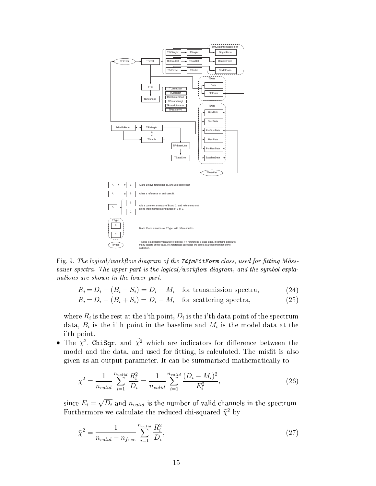

Fig. 9. The logical/workflow diagram of the  $\mathcal{I}$ dfmFitForm class, used for fitting Mössbauer spectra. The upper part is the logical/workflow diagram, and the symbol explanations are shown in the lower part.

$$
R_i = D_i - (B_i - S_i) = D_i - M_i
$$
 for transmission spectra,  
\n
$$
R_i = D_i - (B_i + S_i) = D_i - M_i
$$
 for scattering spectra, (25)

where  $R_i$  is the rest at the i'th point,  $D_i$  is the i'th data point of the spectrum data,  $B_i$  is the i'th point in the baseline and  $M_i$  is the model data at the i'th point.

• The  $\chi^2$ , ChiSqr, and  $\tilde{\chi}^2$  which are indicators for difference between the model and the data, and used for fitting, is calculated. The misfit is also given as an output parameter. It an be summarized mathemati
ally to

$$
\chi^2 = \frac{1}{n_{valid}} \sum_{i=1}^{n_{valid}} \frac{R_i^2}{D_i} = \frac{1}{n_{valid}} \sum_{i=1}^{n_{valid}} \frac{(D_i - M_i)^2}{E_i^2},\tag{26}
$$

since  $E_i = \sqrt{D_i}$  and  $n_{valid}$  is the number of valid channels in the spectrum. Furthermore we calculate the reduced chi-squared  $\tilde{\chi}^2$  by

$$
\tilde{\chi}^2 = \frac{1}{n_{valid} - n_{free}} \sum_{i=1}^{n_{valid}} \frac{R_i^2}{D_i},\tag{27}
$$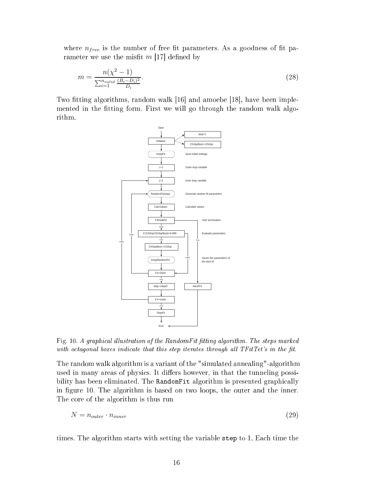where  $n_{free}$  is the number of free fit parameters. As a goodness of fit parameter we use the misfit m  $[17]$  defined by

$$
m = \frac{n(\chi^2 - 1)}{\sum_{i=1}^{n_{valid}} \frac{(B_i - D_i)^2}{D_i}}.
$$
\n(28)

Two fitting algorithms, random walk [16] and amoebe [18], have been implemented in the fitting form. First we will go through the random walk algorithm.



Fig. 10. A graphical illustration of the RandomFit fitting algorithm. The steps marked with octagonal boxes indicate that this step iterates through all  $TFitTet's$  in the fit.

The random walk algorithm is a variant of the "simulated annealing"-algorithm used in many areas of physics. It differs however, in that the tunneling possibility has been eliminated. The RandomFit algorithm is presented graphically in figure 10. The algorithm is based on two loops, the outer and the inner. The ore of the algorithm is thus run

$$
N = n_{outer} \cdot n_{inner} \tag{29}
$$

times. The algorithm starts with setting the variable step to 1. Ea
h time the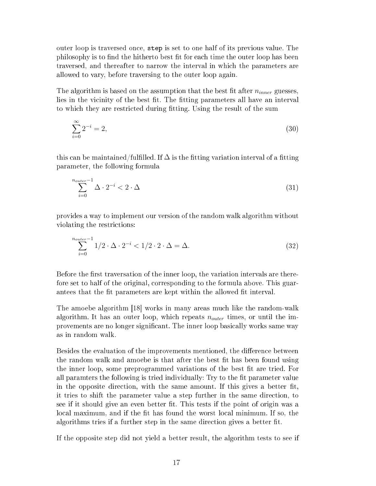outer loop is traversed on
e, step is set to one half of its previous value. The philosophy is to find the hitherto best fit for each time the outer loop has been traversed, and thereafter to narrow the interval in whi
h the parameters are allowed to vary, before traversing to the outer loop again.

The algorithm is based on the assumption that the best fit after  $n_{inner}$  guesses, lies in the vicinity of the best fit. The fitting parameters all have an interval to which they are restricted during fitting. Using the result of the sum

$$
\sum_{i=0}^{\infty} 2^{-i} = 2,\tag{30}
$$

this can be maintained/fulfilled. If  $\Delta$  is the fitting variation interval of a fitting parameter, the following formula

$$
\sum_{i=0}^{n_{outer}-1} \Delta \cdot 2^{-i} < 2 \cdot \Delta \tag{31}
$$

provides a way to implement our version of the random walk algorithm without violating the restri
tions:

$$
\sum_{i=0}^{n_{outer}-1} 1/2 \cdot \Delta \cdot 2^{-i} < 1/2 \cdot 2 \cdot \Delta = \Delta. \tag{32}
$$

Before the first traversation of the inner loop, the variation intervals are therefore set to half of the original, orresponding to the formula above. This guarantees that the fit parameters are kept within the allowed fit interval.

The amoebe algorithm [18] works in many areas much like the random-walk algorithm. It has an outer loop, which repeats  $n_{outer}$  times, or until the improvements are no longer significant. The inner loop basically works same way as in random walk.

Besides the evaluation of the improvements mentioned, the difference between the random walk and amoebe is that after the best fit has been found using the inner loop, some preprogrammed variations of the best fit are tried. For all paramters the following is tried individually: Try to the fit parameter value in the opposite direction, with the same amount. If this gives a better fit, it tries to shift the parameter value a step further in the same dire
tion, to see if it should give an even better fit. This tests if the point of origin was a local maximum, and if the fit has found the worst local minimum. If so, the algorithms tries if a further step in the same direction gives a better fit.

If the opposite step did not yield a better result, the algorithm tests to see if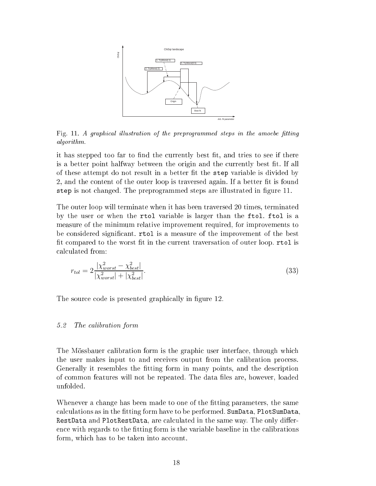

Fig. 11. A graphical illustration of the preprogrammed steps in the amoebe fitting algorithm.

it has stepped too far to find the currently best fit, and tries to see if there is a better point halfway between the origin and the currently best fit. If all of these attempt do not result in a better fit the step variable is divided by 2, and the content of the outer loop is traversed again. If a better fit is found step is not changed. The preprogrammed steps are illustrated in figure 11.

The outer loop will terminate when it has been traversed 20 times, terminated by the user or when the rtol variable is larger than the ftol. ftol is a measure of the minimum relative improvement required, for improvements to be considered significant. rtol is a measure of the improvement of the best fit compared to the worst fit in the current traversation of outer loop. rtol is al
ulated from:

$$
r_{tol} = 2 \frac{|\chi^2_{worst} - \chi^2_{best}|}{|\chi^2_{worst}| + |\chi^2_{best}|}. \tag{33}
$$

The source code is presented graphically in figure 12.

### 5.2 The alibration form

The Mössbauer calibration form is the graphic user interface, through which the user makes input to and re
eives output from the alibration pro
ess. Generally it resembles the tting form in many points, and the des
ription of common features will not be repeated. The data files are, however, loaded unfolded.

Whenever a change has been made to one of the fitting parameters, the same calculations as in the fitting form have to be performed. SumData, PlotSumData RestData and PlotRestData, are calculated in the same way. The only difference with regards to the fitting form is the variable baseline in the calibrations form, which has to be taken into account.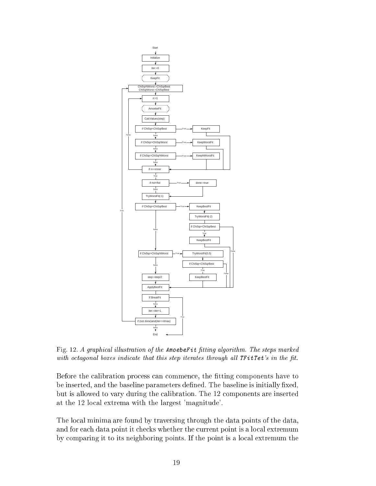

Fig. 12. A graphical illustration of the AmoebeFit fitting algorithm. The steps marked with octagonal boxes indicate that this step iterates through all  $TFit \cdot t$ 's in the fit.

Before the calibration process can commence, the fitting components have to be inserted, and the baseline parameters defined. The baseline is initially fixed, but is allowed to vary during the alibration. The 12 omponents are inserted at the 12 lo
al extrema with the largest 'magnitude'.

The lo
al minima are found by traversing through the data points of the data, and for each data point it checks whether the current point is a local extremum by omparing it to its neighboring points. If the point is a lo
al extremum the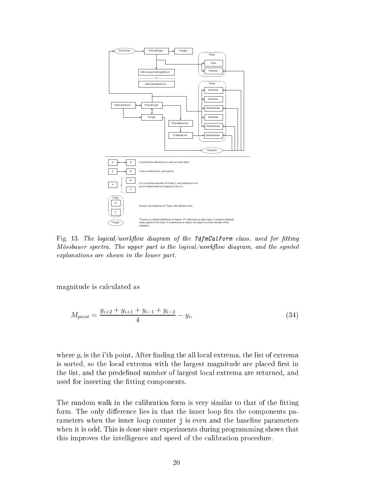

Fig. 13. The logical/workflow diagram of the TdfmCalForm class, used for fitting Mössbauer spectra. The upper part is the logical/workflow diagram, and the symbol explanations are shown in the lower part.

magnitude is al
ulated as

$$
M_{pivot} = \frac{y_{i+2} + y_{i+1} + y_{i-1} + y_{i-2}}{4} - y_i,
$$
\n(34)

where  $y_i$  is the i'th point. After finding the all local extrema, the list of extrema is sorted, so the local extrema with the largest magnitude are placed first in the list, and the predefined number of largest local extrema are returned, and used for inserting the fitting components.

The random walk in the calibration form is very similar to that of the fitting form. The only difference lies in that the inner loop fits the components parameters when the inner loop ounter j is even and the baseline parameters when it is odd. This is done sin
e experiments during programming shows that this improves the intelligen
e and speed of the alibration pro
edure.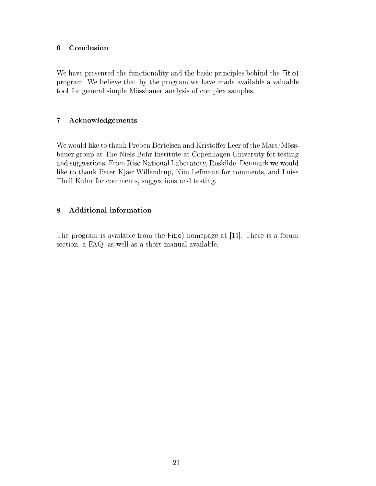## 6 Con
lusion

We have presented the functionality and the basic principles behind the Fit;o) program. We believe that by the program we have made available a valuable tool for general simple Mössbauer analysis of omplex samples.

## 7 A
knowledgements

We would like to thank Preben Bertelsen and Kristoffer Leer of the Mars/Mössbauer group at The Niels Bohr Institute at Copenhagen University for testing and suggestions. From Risø National Laboratory, Roskilde, Denmark we would like to thank Peter Kjær Willendrup, Kim Lefmann for omments, and Luise Theil Kuhn for omments, suggestions and testing.

## 8 Additional information

The program is available from the  $Fit; o)$  homepage at [11]. There is a forum se
tion, a FAQ, as well as a short manual available.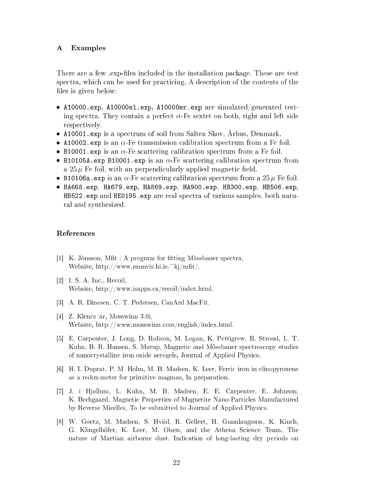#### A Examples

There are a few exp-files included in the installation package. These are test spectra, which can be used for practicing. A description of the contents of the files is given below:

- A10000.exp, A10000el.exp, A10000er.exp are simulated/generated testing spectra. They contain a perfect  $\alpha$ -Fe sextet on both, right and left side respe
tively.
- A10001. exp is a spectrum of soil from Salten Skov, Århus, Denmark.
- A10002. exp is an  $\alpha$ -Fe transmission calibration spectrum from a Fe foil.
- B10001. exp is an  $\alpha$ -Fe scattering calibration spectrum from a Fe foil.
- B10105A.exp B10001.exp is an  $\alpha$ -Fe scattering calibration spectrum from a  $25 \mu$  Fe foil, with an perpendicularly applied magnetic field.
- B10106a. exp is an  $\alpha$ -Fe scattering calibration spectrum from a  $25 \mu$  Fe foil.
- HA668.exp, HA679.exp, HA869.exp, HA900.exp, HB300.exp, HB506.exp, HB522.exp and HE0195.exp are real spe
tra of various samples, both natural and synthesized.

#### Referen
es

- [1] K. Jónsson, Mfit : A program for fitting Mössbauer spectra, Website,  $\frac{htp!}{www.raunvis.hi.is/^kj/mft/}.$
- $[2]$  I. S. A. Inc., Recoil, Website, http://www.isapps.ca/recoil/index.html.
- [3] A. R. Dinesen, C. T. Pedersen, CanArd MacFit.
- [4]  $Z$ . Klencs 'ar, Mosswinn 3.0i, Website, http://www.mosswinn.
om/english/index.html.
- [5] E. Carpenter, J. Long, D. Rolison, M. Logan, K. Pettigrew, R. Stroud, L. T. Kuhn, B. R. Hansen, S. Mørup, Magneti and Mössbauer spe
tros
opy studies of nano
rystalline iron oxide aerogels, Journal of Applied Physi
s.
- [6] H. I. Duprat, P. M. Holm, M. B. Madsen, K. Leer, Ferric iron in clinopyroxene as a redox-meter for primitive magmas, In preparation.
- [7] J. í Hjøllum, L. Kuhn, M. B. Madsen, E. E. Carpenter, E. Johnson, K. Bechgaard, Magnetic Properties of Magnetite Nano-Particles Manufactured by Reverse Mi
elles, To be submitted to Journal of Applied Physi
s.
- [8] W. Goetz, M. Madsen, S. Hviid, R. Gellert, H. Gunnlaugsson, K. Kinch, G. Klingelhöfer, K. Leer, M. Olsen, and the Athena S
ien
e Team, The nature of Martian airborne dust. Indication of long-lasting dry periods on